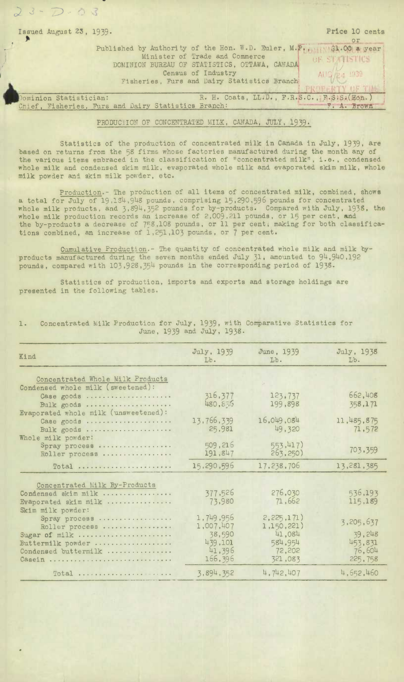Issued August 23, 1939- **Price** 10 cents Published by Authority of the Hon. W.D. Euler, M.  $P_{1:0}$  (31.00 a year) Minister of Trade and Commerce MINISTER OF TRACE AND COMMERCE OF STATISTICS, OTTAWA, CANADA<sup>1</sup> OF STATISTICS Census of Industry **AHO** AHO Fisheries, Furs and Dairy Statistics Branch PROBERTY OF THE **b** ominion Statistician: R. H. Coats, LL.D., F.R.S.C., F.S.S.(Hon.)<br>hief, Fisheries, Furs and Dairy Statistics Branch: F. A. Brown Chief, Fisheries, Furs and Dairy Statistics Branch:

 $23 - D - 03$ 

## PRODUCTION OF CONCENTRATED MILK, CANADA, JULY, 1939.

Statistics of the production of concentrated milk in Canada in July, 1939, are based on returns from the 58 firms whose factories manufactured during the month any of the various items embraced in the classification of "concentrated milk", i.e. , condensed whole milk and condensed skim milk, evaporated whole milk and evaporated skim milk, whole milk powder ani skim milk powder, etc.

Production.- The production of all items of concentrated milk, combined, shows a total for July of 19,134,948 pounds, comprising 15,290,596 pounds for concentrated whole milk products, and 3,894,352 pounds for by-products. Compared with July, 1938, the whole milk production records an increase of 2,009,211 pounds, or 15 per cent, and<br>the by-products a decrease of 758,108 pounds, or 11 per cent, making for both classifications combined, an increase of 1,251,103 pounds, or 7 per cent.

Cumulative Production.- The quantity of concentrated whole milk and milk byproducts manufactured during the seven months ended July 31, amounted to 94,940,192 pounds, compared with 103,928,354 pounds in the corresponding period of 1938.

Statistics of production, imports and exports and storage holdings are presented in the following tables.

| Kind                                                                                                                         | July, 1939<br>Lb.                                                | June, 1939<br>Lb.                                                  | July, 1938<br>Lb.                                   |
|------------------------------------------------------------------------------------------------------------------------------|------------------------------------------------------------------|--------------------------------------------------------------------|-----------------------------------------------------|
| Concentrated Whole Milk Products                                                                                             |                                                                  |                                                                    |                                                     |
| Condensed whole milk (sweetened):<br>Case goods<br>Bulk goods<br>Evaporated whole milk (unsweetened):                        | 316,377<br>480,835                                               | 123,737<br>199,898                                                 | 662,408<br>358,171                                  |
| Case goods<br>Bulk goods<br>Whole milk powder:                                                                               | 13,766,339<br>25,981                                             | 16,049,084<br>49,320                                               | 11,485,875<br>71,572                                |
| Spray process<br>Roller process                                                                                              | 509,216<br>191,847                                               | 553,417)<br>263, 250)                                              | 703,359                                             |
| Total                                                                                                                        | 15,290,596                                                       | 17,238,706                                                         | 13,281,385                                          |
| Concentrated Milk By-Products<br>Condensed skim milk<br>Evaporated skim milk                                                 | 377,526<br>73,980                                                | 276,030<br>71,662                                                  | 536,193<br>115,189                                  |
| Skim milk powder:<br>Spray process<br>Roller process<br>Sugar of milk<br>Buttermilk powder<br>Condensed buttermilk<br>Casein | 1,749,956<br>1,007,407<br>38,590<br>439,101<br>41,396<br>166,396 | 2,225,171)<br>1,150,221)<br>41,084<br>584.954<br>72,202<br>321,083 | 3,205,637<br>39,248<br>453,831<br>76,604<br>225,758 |
| Total                                                                                                                        | 3,894,352                                                        | 4,742,407                                                          | 4,652,460                                           |

1. Concentrated Milk Production for July, 1939, with Comparative Statistics for June, 1939 and July, 1938.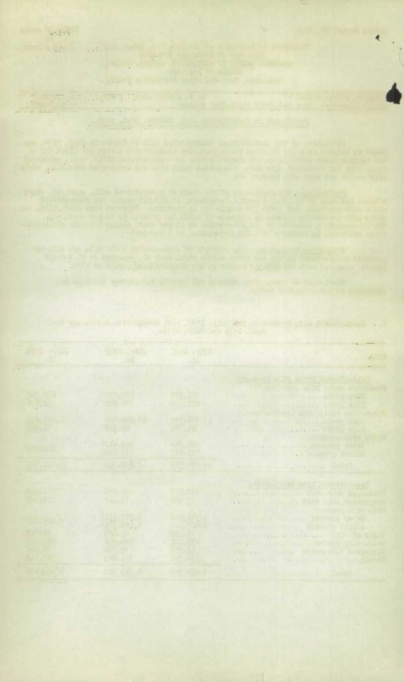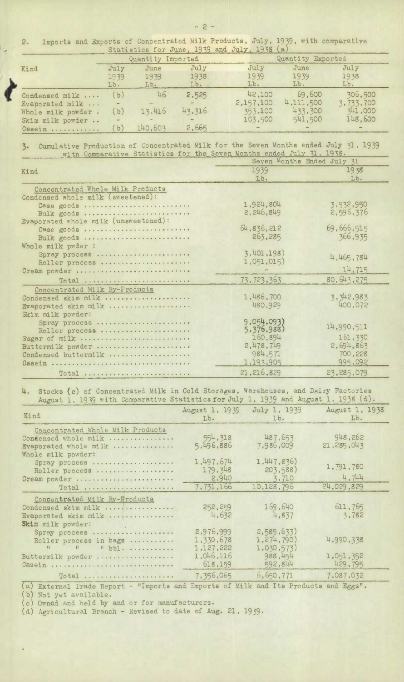$\mathbb{S}^{\cdot}$ Imports and Exports of Concentrated Milk Products, July, 1939, with comparative Statistics for June, 1939 and July, 1938 (a)

|                    | Quantity Imported |             |               | Quantity Exported |           |           |
|--------------------|-------------------|-------------|---------------|-------------------|-----------|-----------|
| Kind               | July              | June        | July          | July              | June      | July      |
|                    | 1939              | 1939        | 1938          | 1939              | 1939      | 1938      |
|                    | Lb.               | Lb.         | Lb.           | Lb.               | Lb.       | Lb.       |
| Condensed milk     | (ъ)               | 46          | 2,525         | 42,100            | 69.600    | 306,500   |
| Evaporated $milk$  |                   | <b>comp</b> | $\frac{1}{2}$ | 2,157,100         | 4,111,500 | 3,733,700 |
| Whole milk powder. | (b)               | 13,416      | 43,316        | 353,100           | 433,300   | 341,000   |
| Skim milk powder   |                   |             |               | 103,500           | 541,500   | 148,600   |
| Casein             | $\lceil b \rceil$ | 140,603     | 2,665         |                   |           |           |

Cumulative Production of Concentrated Milk for the Seven Months ended July 31, 1939 with Comparative Statistics for the Seven Months ended July 31, 1938.

|                                      | Seven Months Ended July 31 |              |  |
|--------------------------------------|----------------------------|--------------|--|
| Kind                                 | 1939                       | 1938         |  |
|                                      | Lb.                        | Lb.          |  |
| Concentrated Whole Milk Products     |                            |              |  |
| Condensed whole milk (sweetened):    |                            |              |  |
|                                      | 1,924,804                  | 3,532,950    |  |
| Case goods                           | 2, 246, 849                | 2,596,376    |  |
| Bulk goods                           |                            |              |  |
| Evaporated whole milk (unsweetened): | 64, 836, 212               | 69,666,515   |  |
| Case goods                           | 263,285                    | 366,935      |  |
| Bulk goods                           |                            |              |  |
| Whole milk pwder :                   |                            |              |  |
| Spray process                        | 3,401,198)                 | 4,465,784    |  |
| Roller process                       | 1,051,015)                 |              |  |
| Cream powder                         |                            | 14,715       |  |
| Total                                | 73, 723, 363               | 80, 643, 275 |  |
| Concentrated Milk By-Products        |                            |              |  |
| Condensed skim milk                  | 1,486,700                  | 3.342,983    |  |
| Evaporated skim milk                 | 480,929                    | 400,072      |  |
| Skim milk powder:                    |                            |              |  |
| Spray process                        | 9,054,093)                 |              |  |
| Roller process                       | 5.376.988)                 | 14,990,511   |  |
| Sugar of milk                        | 160,894                    | 161,330      |  |
| Buttermilk powder                    | 2,478,749                  | 2,694,863    |  |
| Condensed buttermilk                 | 984,571                    | 700,228      |  |
| Casein                               | 1,193,905                  | 995,092      |  |
| Total                                | 21, 216, 829               | 23,285,079   |  |
|                                      |                            |              |  |

4. Stocks (c) of Concentrated Milk in Cold Storages, Warehouses, and Dairy Factories August 1, 1939 with Comparative Statistics for July 1, 1939 and August 1, 1938 (d).

| Kind                                                                                                                                                                                                                                                                                                                                                                                                         | August 1, 1939<br>Lb.                                       | July 1, 1939<br>Lb.                                          | August 1, 1938<br>Lb.             |
|--------------------------------------------------------------------------------------------------------------------------------------------------------------------------------------------------------------------------------------------------------------------------------------------------------------------------------------------------------------------------------------------------------------|-------------------------------------------------------------|--------------------------------------------------------------|-----------------------------------|
| Concentrated Whole Milk Products<br>Condensed whole milk<br>Evaporated whole milk<br>Whole milk powder:                                                                                                                                                                                                                                                                                                      | 554,318<br>5,496,886                                        | 487,653<br>7,986,009                                         | 948,262<br>21,285,043             |
| Spray process<br>Roller process<br>Cream powder<br>Total                                                                                                                                                                                                                                                                                                                                                     | 1,497,674<br>179,348<br>2,940<br>7,731,166                  | 1,447,836)<br>203,588)<br>3,710<br>10,128,796                | 1,791,780<br>4,744<br>24,029,829  |
| Concentrated Milk By-Froducts<br>Condensed skim milk<br>Evaporated skim milk<br>Skim milk powder:<br><b>TANK A</b>                                                                                                                                                                                                                                                                                           | 252, 259<br>4,632                                           | 169,640<br>4,837                                             | 611,765<br>3,782                  |
| Spray process<br>Roller process in bags<br>$\mathbf{u}$ $\mathbf{u}$ $\mathbf{v}$ $\mathbf{v}$ $\mathbf{v}$ $\mathbf{v}$ $\mathbf{v}$ $\mathbf{v}$ $\mathbf{v}$ $\mathbf{v}$ $\mathbf{v}$ $\mathbf{v}$ $\mathbf{v}$ $\mathbf{v}$ $\mathbf{v}$ $\mathbf{v}$ $\mathbf{v}$ $\mathbf{v}$ $\mathbf{v}$ $\mathbf{v}$ $\mathbf{v}$ $\mathbf{v}$ $\mathbf{v}$ $\mathbf{v}$ $\mathbf{$<br>Buttermilk powder<br>Casein | 2,976,999<br>1,330,678<br>1,127,222<br>1,046,116<br>618,159 | 2,589,633)<br>1,274,790)<br>1,030,573)<br>988,454<br>592,844 | 4,990,338<br>1,051,352<br>429,795 |
| $Total$                                                                                                                                                                                                                                                                                                                                                                                                      | 7,356,065                                                   | 6,650,771                                                    | 7,087,032                         |

External Trade Report - "Imports and Exports of Milk and Its Products and Eggs" (b) Not yet available.

OwnQd and held by and or for manufacturers.

(d) Agricultural Branch - Revised to date of Aug. 21, 1939.